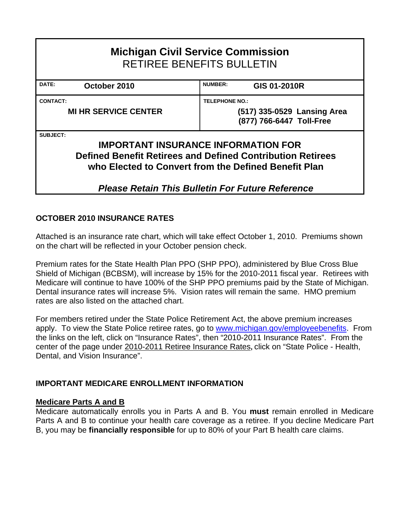| <b>Michigan Civil Service Commission</b><br><b>RETIREE BENEFITS BULLETIN</b>                                                                                                        |  |  |  |  |  |  |  |  |  |  |
|-------------------------------------------------------------------------------------------------------------------------------------------------------------------------------------|--|--|--|--|--|--|--|--|--|--|
| <b>NUMBER:</b><br>DATE:<br>GIS 01-2010R<br>October 2010                                                                                                                             |  |  |  |  |  |  |  |  |  |  |
| <b>CONTACT:</b><br><b>TELEPHONE NO.:</b>                                                                                                                                            |  |  |  |  |  |  |  |  |  |  |
| <b>MI HR SERVICE CENTER</b><br>(517) 335-0529 Lansing Area<br>(877) 766-6447 Toll-Free                                                                                              |  |  |  |  |  |  |  |  |  |  |
| SUBJECT:<br><b>IMPORTANT INSURANCE INFORMATION FOR</b><br><b>Defined Benefit Retirees and Defined Contribution Retirees</b><br>who Elected to Convert from the Defined Benefit Plan |  |  |  |  |  |  |  |  |  |  |

# *Please Retain This Bulletin For Future Reference*

## **OCTOBER 2010 INSURANCE RATES**

Attached is an insurance rate chart, which will take effect October 1, 2010. Premiums shown on the chart will be reflected in your October pension check.

Premium rates for the State Health Plan PPO (SHP PPO), administered by Blue Cross Blue Shield of Michigan (BCBSM), will increase by 15% for the 2010-2011 fiscal year. Retirees with Medicare will continue to have 100% of the SHP PPO premiums paid by the State of Michigan. Dental insurance rates will increase 5%. Vision rates will remain the same. HMO premium rates are also listed on the attached chart.

For members retired under the State Police Retirement Act, the above premium increases apply. To view the State Police retiree rates, go to [www.michigan.gov/employeebenefits.](http://www.michigan.gov/employeebenefits) From the links on the left, click on "Insurance Rates", then "2010-2011 Insurance Rates". From the center of the page under 2010-2011 Retiree Insurance Rates**,** click on "State Police - Health, Dental, and Vision Insurance".

## **IMPORTANT MEDICARE ENROLLMENT INFORMATION**

### **Medicare Parts A and B**

Medicare automatically enrolls you in Parts A and B. You **must** remain enrolled in Medicare Parts A and B to continue your health care coverage as a retiree. If you decline Medicare Part B, you may be **financially responsible** for up to 80% of your Part B health care claims.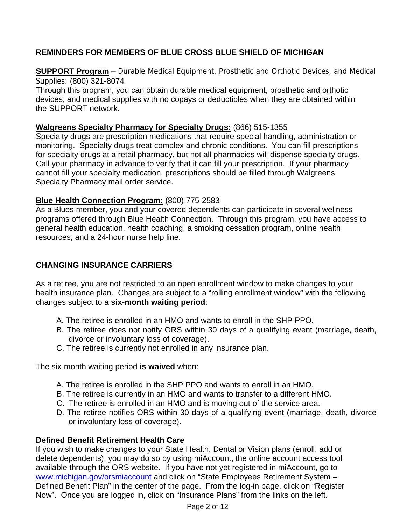# **REMINDERS FOR MEMBERS OF BLUE CROSS BLUE SHIELD OF MICHIGAN**

**SUPPORT Program** – Durable Medical Equipment, Prosthetic and Orthotic Devices, and Medical Supplies: (800) 321-8074

Through this program, you can obtain durable medical equipment, prosthetic and orthotic devices, and medical supplies with no copays or deductibles when they are obtained within the SUPPORT network.

### **Walgreens Specialty Pharmacy for Specialty Drugs:** (866) 515-1355

Specialty drugs are prescription medications that require special handling, administration or monitoring. Specialty drugs treat complex and chronic conditions. You can fill prescriptions for specialty drugs at a retail pharmacy, but not all pharmacies will dispense specialty drugs. Call your pharmacy in advance to verify that it can fill your prescription. If your pharmacy cannot fill your specialty medication, prescriptions should be filled through Walgreens Specialty Pharmacy mail order service.

### **Blue Health Connection Program:** (800) 775-2583

As a Blues member, you and your covered dependents can participate in several wellness programs offered through Blue Health Connection. Through this program, you have access to general health education, health coaching, a smoking cessation program, online health resources, and a 24-hour nurse help line.

# **CHANGING INSURANCE CARRIERS**

As a retiree, you are not restricted to an open enrollment window to make changes to your health insurance plan. Changes are subject to a "rolling enrollment window" with the following changes subject to a **six-month waiting period**:

- A. The retiree is enrolled in an HMO and wants to enroll in the SHP PPO.
- B. The retiree does not notify ORS within 30 days of a qualifying event (marriage, death, divorce or involuntary loss of coverage).
- C. The retiree is currently not enrolled in any insurance plan.

The six-month waiting period **is waived** when:

- A. The retiree is enrolled in the SHP PPO and wants to enroll in an HMO.
- B. The retiree is currently in an HMO and wants to transfer to a different HMO.
- C. The retiree is enrolled in an HMO and is moving out of the service area.
- D. The retiree notifies ORS within 30 days of a qualifying event (marriage, death, divorce or involuntary loss of coverage).

## **Defined Benefit Retirement Health Care**

If you wish to make changes to your State Health, Dental or Vision plans (enroll, add or delete dependents), you may do so by using miAccount, the online account access tool available through the ORS website. If you have not yet registered in miAccount, go to [www.michigan.gov/orsmiaccount](http://www.michigan.gov/orsmiaccount) and click on "State Employees Retirement System – Defined Benefit Plan" in the center of the page. From the log-in page, click on "Register Now". Once you are logged in, click on "Insurance Plans" from the links on the left.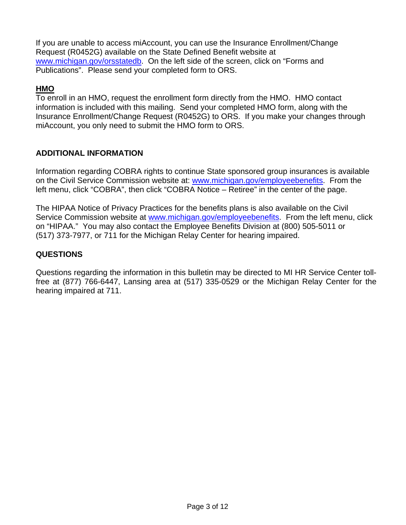If you are unable to access miAccount, you can use the Insurance Enrollment/Change Request (R0452G) available on the State Defined Benefit website at www.michigan.gov/orsstatedb. On the left side of the screen, click on "Forms and Publications". Please send your completed form to ORS.

### **HMO**

To enroll in an HMO, request the enrollment form directly from the HMO. HMO contact information is included with this mailing. Send your completed HMO form, along with the Insurance Enrollment/Change Request (R0452G) to ORS. If you make your changes through miAccount, you only need to submit the HMO form to ORS.

### **ADDITIONAL INFORMATION**

Information regarding COBRA rights to continue State sponsored group insurances is available on the Civil Service Commission website at: [www.michigan.gov/employeebenefits](http://www.michigan.gov/employeebenefits). From the left menu, click "COBRA", then click "COBRA Notice – Retiree" in the center of the page.

The HIPAA Notice of Privacy Practices for the benefits plans is also available on the Civil Service Commission website at [www.michigan.gov/employeebenefits](http://www.michigan.gov/employeebenefits). From the left menu, click on "HIPAA." You may also contact the Employee Benefits Division at (800) 505-5011 or (517) 373-7977, or 711 for the Michigan Relay Center for hearing impaired.

### **QUESTIONS**

Questions regarding the information in this bulletin may be directed to MI HR Service Center tollfree at (877) 766-6447, Lansing area at (517) 335-0529 or the Michigan Relay Center for the hearing impaired at 711.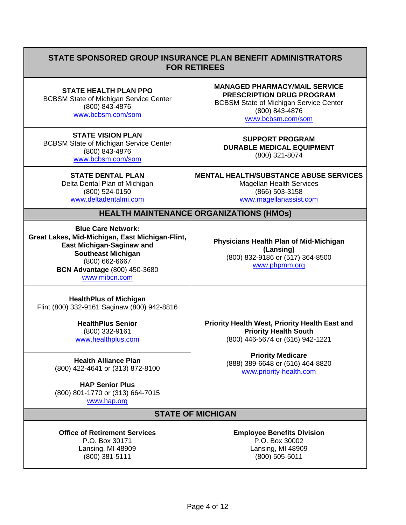## **STATE SPONSORED GROUP INSURANCE PLAN BENEFIT ADMINISTRATORS FOR RETIREES**

**STATE HEALTH PLAN PPO** BCBSM State of Michigan Service Center (800) 843-4876

[www.bcbsm.com/som](http://www.bcbsm.com/som)

**STATE VISION PLAN** BCBSM State of Michigan Service Center (800) 843-4876 [www.bcbsm.com/som](http://www.bcbsm.com/som)

> **STATE DENTAL PLAN**  Delta Dental Plan of Michigan (800) 524-0150 [www.deltadentalmi.com](http://www.deltadentalmi.com/)

**MANAGED PHARMACY/MAIL SERVICE PRESCRIPTION DRUG PROGRAM** BCBSM State of Michigan Service Center (800) 843-4876

[www.bcbsm.com/som](http://www.bcbsm.com/som)

#### **SUPPORT PROGRAM DURABLE MEDICAL EQUIPMENT** (800) 321-8074

**MENTAL HEALTH/SUBSTANCE ABUSE SERVICES**  Magellan Health Services (866) 503-3158 [www.magellanassist.com](http://www.magellanassist.com/) 

### **HEALTH MAINTENANCE ORGANIZATIONS (HMOs)**

**Blue Care Network: Great Lakes, Mid-Michigan, East Michigan-Flint, East Michigan-Saginaw and Southeast Michigan** (800) 662-6667 **BCN Advantage** (800) 450-3680 [www.mibcn.com](http://www.mibcn.com/)

**Physicians Health Plan of Mid-Michigan (Lansing)** (800) 832-9186 or (517) 364-8500 [www.phpmm.org](http://www.phpmm.org/)

**HealthPlus of Michigan** Flint (800) 332-9161 Saginaw (800) 942-8816

> **HealthPlus Senior** (800) 332-9161 [www.healthplus.com](http://www.healthplus.com/)

**HAP Senior Plus** (800) 801-1770 or (313) 664-7015 [www.hap.org](http://www.hap.org/) 

**Priority Health West, Priority Health East and Priority Health South** (800) 446-5674 or (616) 942-1221

**Priority Medicare**<br>**Priority Medicare Health Alliance Plan** (800) 422-4641 or (313) 872-8100 (888) 889-6648 or (616) 464-8820

## **STATE OF MICHIGAN**

**Office of Retirement Services Employee Benefits Division** P.O. Box 30171 P.O. Box 30002 Lansing, MI 48909 Lansing, MI 48909 (800) 381-5111 (800) 505-5011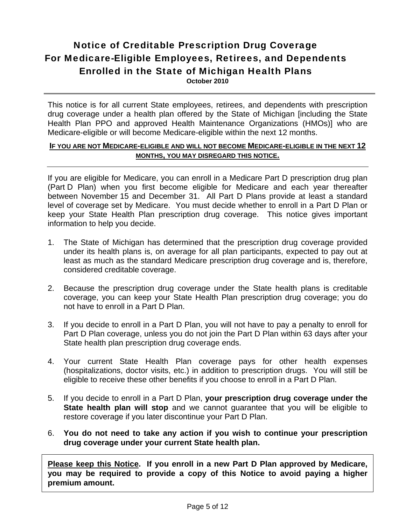# Notice of Creditable Prescription Drug Coverage For Medicare-Eligible Employees, Retirees, and Dependents Enrolled in the State of Michigan Health Plans **October 2010**

This notice is for all current State employees, retirees, and dependents with prescription drug coverage under a health plan offered by the State of Michigan [including the State Health Plan PPO and approved Health Maintenance Organizations (HMOs)] who are Medicare-eligible or will become Medicare-eligible within the next 12 months.

### **IF YOU ARE NOT MEDICARE-ELIGIBLE AND WILL NOT BECOME MEDICARE-ELIGIBLE IN THE NEXT 12 MONTHS, YOU MAY DISREGARD THIS NOTICE.**

If you are eligible for Medicare, you can enroll in a Medicare Part D prescription drug plan (Part D Plan) when you first become eligible for Medicare and each year thereafter between November 15 and December 31. All Part D Plans provide at least a standard level of coverage set by Medicare. You must decide whether to enroll in a Part D Plan or keep your State Health Plan prescription drug coverage. This notice gives important information to help you decide.

- 1. The State of Michigan has determined that the prescription drug coverage provided under its health plans is, on average for all plan participants, expected to pay out at least as much as the standard Medicare prescription drug coverage and is, therefore, considered creditable coverage.
- 2. Because the prescription drug coverage under the State health plans is creditable coverage, you can keep your State Health Plan prescription drug coverage; you do not have to enroll in a Part D Plan.
- 3. If you decide to enroll in a Part D Plan, you will not have to pay a penalty to enroll for Part D Plan coverage, unless you do not join the Part D Plan within 63 days after your State health plan prescription drug coverage ends.
- 4. Your current State Health Plan coverage pays for other health expenses (hospitalizations, doctor visits, etc.) in addition to prescription drugs. You will still be eligible to receive these other benefits if you choose to enroll in a Part D Plan.
- 5. If you decide to enroll in a Part D Plan, **your prescription drug coverage under the State health plan will stop** and we cannot guarantee that you will be eligible to restore coverage if you later discontinue your Part D Plan.
- 6. **You do not need to take any action if you wish to continue your prescription drug coverage under your current State health plan.**

**Please keep this Notice. If you enroll in a new Part D Plan approved by Medicare, you may be required to provide a copy of this Notice to avoid paying a higher premium amount.**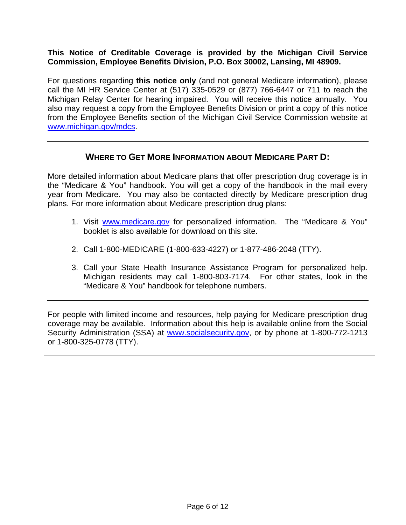### **This Notice of Creditable Coverage is provided by the Michigan Civil Service Commission, Employee Benefits Division, P.O. Box 30002, Lansing, MI 48909.**

For questions regarding **this notice only** (and not general Medicare information), please call the MI HR Service Center at (517) 335-0529 or (877) 766-6447 or 711 to reach the Michigan Relay Center for hearing impaired. You will receive this notice annually. You also may request a copy from the Employee Benefits Division or print a copy of this notice from the Employee Benefits section of the Michigan Civil Service Commission website at [www.michigan.gov/mdcs.](http://www.michigan.gov/mdcs)

## **WHERE TO GET MORE INFORMATION ABOUT MEDICARE PART D:**

More detailed information about Medicare plans that offer prescription drug coverage is in the "Medicare & You" handbook. You will get a copy of the handbook in the mail every year from Medicare. You may also be contacted directly by Medicare prescription drug plans. For more information about Medicare prescription drug plans:

- 1. Visit [www.medicare.gov](http://www.medicare.gov/) for personalized information. The "Medicare & You" booklet is also available for download on this site.
- 2. Call 1-800-MEDICARE (1-800-633-4227) or 1-877-486-2048 (TTY).
- 3. Call your State Health Insurance Assistance Program for personalized help. Michigan residents may call 1-800-803-7174. For other states, look in the "Medicare & You" handbook for telephone numbers.

For people with limited income and resources, help paying for Medicare prescription drug coverage may be available. Information about this help is available online from the Social Security Administration (SSA) at [www.socialsecurity.gov,](http://www.socialsecurity.gov/) or by phone at 1-800-772-1213 or 1-800-325-0778 (TTY).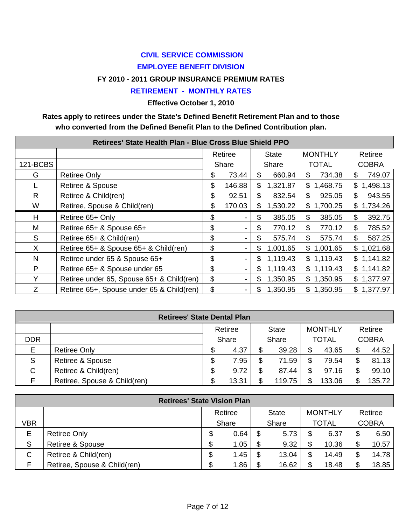# **CIVIL SERVICE COMMISSION EMPLOYEE BENEFIT DIVISION**

### **FY 2010 - 2011 GROUP INSURANCE PREMIUM RATES**

### **RETIREMENT - MONTHLY RATES**

**Effective October 1, 2010** 

## **Rates apply to retirees under the State's Defined Benefit Retirement Plan and to those who converted from the Defined Benefit Plan to the Defined Contribution plan.**

|              | Retirees' State Health Plan - Blue Cross Blue Shield PPO |         |        |       |          |                |                          |  |  |  |  |  |
|--------------|----------------------------------------------------------|---------|--------|-------|----------|----------------|--------------------------|--|--|--|--|--|
|              |                                                          | Retiree |        | State |          | <b>MONTHLY</b> | Retiree                  |  |  |  |  |  |
| 121-BCBS     |                                                          |         | Share  | Share |          | <b>TOTAL</b>   | <b>COBRA</b>             |  |  |  |  |  |
| G            | <b>Retiree Only</b>                                      | \$      | 73.44  | \$    | 660.94   | 734.38<br>\$.  | 749.07<br>S              |  |  |  |  |  |
|              | Retiree & Spouse                                         | \$      | 146.88 | \$    | 1,321.87 | \$1,468.75     | 1,498.13<br>\$           |  |  |  |  |  |
| $\mathsf{R}$ | Retiree & Child(ren)                                     | \$      | 92.51  | \$    | 832.54   | 925.05<br>\$   | 943.55<br>\$             |  |  |  |  |  |
| W            | Retiree, Spouse & Child(ren)                             | \$      | 170.03 | \$    | 1,530.22 | \$1,700.25     | 1,734.26<br>\$           |  |  |  |  |  |
| н            | Retiree 65+ Only                                         | \$      |        | \$    | 385.05   | 385.05<br>\$   | 392.75<br>\$             |  |  |  |  |  |
| M            | Retiree 65+ & Spouse 65+                                 | \$      |        | \$    | 770.12   | 770.12<br>\$   | 785.52<br>\$             |  |  |  |  |  |
| S            | Retiree 65+ & Child(ren)                                 | \$      |        | \$    | 575.74   | \$<br>575.74   | $\mathfrak{L}$<br>587.25 |  |  |  |  |  |
| X.           | Retiree 65+ & Spouse 65+ & Child(ren)                    | \$      |        | \$    | 1,001.65 | \$1,001.65     | \$1,021.68               |  |  |  |  |  |
| N            | Retiree under 65 & Spouse 65+                            | \$      |        | £.    | 1,119.43 | \$1,119.43     | \$1,141.82               |  |  |  |  |  |
| P            | Retiree 65+ & Spouse under 65                            | \$      |        | S     | 1,119.43 | \$1,119.43     | \$1,141.82               |  |  |  |  |  |
| Y            | Retiree under 65, Spouse 65+ & Child(ren)                | \$      |        | S     | 1,350.95 | \$1,350.95     | \$1,377.97               |  |  |  |  |  |
| Z            | Retiree 65+, Spouse under 65 & Child(ren)                | \$      |        | S     | 1,350.95 | \$1,350.95     | \$1,377.97               |  |  |  |  |  |

| <b>Retirees' State Dental Plan</b>        |                              |        |       |    |        |    |              |         |              |  |
|-------------------------------------------|------------------------------|--------|-------|----|--------|----|--------------|---------|--------------|--|
| <b>MONTHLY</b><br>Retiree<br><b>State</b> |                              |        |       |    |        |    |              | Retiree |              |  |
| <b>DDR</b>                                |                              |        | Share |    | Share  |    | <b>TOTAL</b> |         | <b>COBRA</b> |  |
| E                                         | <b>Retiree Only</b>          | ጥ<br>D | 4.37  |    | 39.28  | \$ | 43.65        |         | 44.52        |  |
| S                                         | Retiree & Spouse             | ጥ<br>D | 7.95  | \$ | 71.59  | \$ | 79.54        |         | 81.13        |  |
| C                                         | Retiree & Child(ren)         | ጥ<br>Œ | 9.72  |    | 87.44  | \$ | 97.16        |         | 99.10        |  |
|                                           | Retiree, Spouse & Child(ren) |        | 13.31 |    | 119.75 | \$ | 133.06       |         | 135.72       |  |

| <b>Retirees' State Vision Plan</b> |                                                      |    |       |    |       |    |              |    |              |  |
|------------------------------------|------------------------------------------------------|----|-------|----|-------|----|--------------|----|--------------|--|
|                                    | <b>MONTHLY</b><br>Retiree<br>Retiree<br><b>State</b> |    |       |    |       |    |              |    |              |  |
| VBR                                |                                                      |    | Share |    | Share |    | <b>TOTAL</b> |    | <b>COBRA</b> |  |
| E                                  | <b>Retiree Only</b>                                  | \$ | 0.64  | \$ | 5.73  | \$ | 6.37         | \$ | 6.50         |  |
| S                                  | Retiree & Spouse                                     | Æ  | 1.05  | \$ | 9.32  | \$ | 10.36        |    | 10.57        |  |
| C                                  | Retiree & Child(ren)                                 | \$ | 1.45  | \$ | 13.04 | \$ | 14.49        |    | 14.78        |  |
|                                    | Retiree, Spouse & Child(ren)                         | \$ | 1.86  | \$ | 16.62 | \$ | 18.48        |    | 18.85        |  |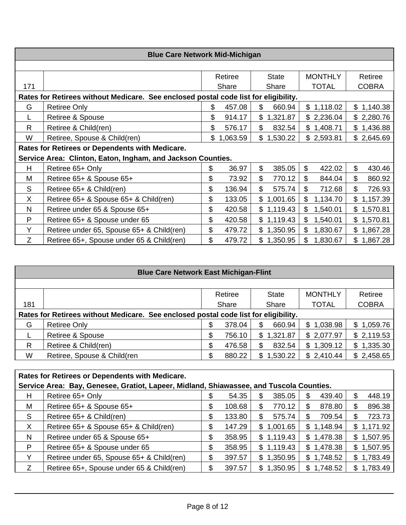|                                                                                     | <b>Blue Care Network Mid-Michigan</b>                       |    |          |    |              |     |                |    |              |  |  |
|-------------------------------------------------------------------------------------|-------------------------------------------------------------|----|----------|----|--------------|-----|----------------|----|--------------|--|--|
|                                                                                     |                                                             |    |          |    |              |     |                |    |              |  |  |
|                                                                                     |                                                             |    | Retiree  |    | <b>State</b> |     | <b>MONTHLY</b> |    | Retiree      |  |  |
| 171                                                                                 |                                                             |    | Share    |    | Share        |     | <b>TOTAL</b>   |    | <b>COBRA</b> |  |  |
| Rates for Retirees without Medicare. See enclosed postal code list for eligibility. |                                                             |    |          |    |              |     |                |    |              |  |  |
| G                                                                                   | <b>Retiree Only</b>                                         | S  | 457.08   | \$ | 660.94       |     | \$1,118.02     |    | \$1,140.38   |  |  |
|                                                                                     | Retiree & Spouse                                            | \$ | 914.17   |    | \$1,321.87   |     | \$2,236.04     |    | \$2,280.76   |  |  |
| R                                                                                   | Retiree & Child(ren)                                        | \$ | 576.17   | \$ | 832.54       |     | \$1,408.71     |    | \$1,436.88   |  |  |
| W                                                                                   | Retiree, Spouse & Child(ren)                                | \$ | 1,063.59 |    | \$1,530.22   |     | \$2,593.81     |    | \$2,645.69   |  |  |
|                                                                                     | Rates for Retirees or Dependents with Medicare.             |    |          |    |              |     |                |    |              |  |  |
|                                                                                     | Service Area: Clinton, Eaton, Ingham, and Jackson Counties. |    |          |    |              |     |                |    |              |  |  |
| H                                                                                   | Retiree 65+ Only                                            | \$ | 36.97    | \$ | 385.05       | \$  | 422.02         | \$ | 430.46       |  |  |
| M                                                                                   | Retiree 65+ & Spouse 65+                                    | \$ | 73.92    | \$ | 770.12       | \$  | 844.04         | \$ | 860.92       |  |  |
| S                                                                                   | Retiree 65+ & Child(ren)                                    | \$ | 136.94   | \$ | 575.74       | \$  | 712.68         | \$ | 726.93       |  |  |
| X                                                                                   | Retiree 65+ & Spouse 65+ & Child(ren)                       | \$ | 133.05   | \$ | 1,001.65     | \$. | 1,134.70       |    | \$1,157.39   |  |  |
| N                                                                                   | Retiree under 65 & Spouse 65+                               | \$ | 420.58   |    | \$1,119.43   | \$  | 1,540.01       |    | \$1,570.81   |  |  |
| P                                                                                   | Retiree 65+ & Spouse under 65                               | \$ | 420.58   |    | \$1,119.43   | \$. | 1,540.01       |    | \$1,570.81   |  |  |
| Y                                                                                   | Retiree under 65, Spouse 65+ & Child(ren)                   | \$ | 479.72   |    | \$1,350.95   | \$. | 1,830.67       |    | \$1,867.28   |  |  |
| Z                                                                                   | Retiree 65+, Spouse under 65 & Child(ren)                   | \$ | 479.72   |    | \$1,350.95   | \$  | 1,830.67       |    | \$1,867.28   |  |  |

| <b>Blue Care Network East Michigan-Flint</b> |                                                                                     |       |         |       |              |                |                |  |  |  |
|----------------------------------------------|-------------------------------------------------------------------------------------|-------|---------|-------|--------------|----------------|----------------|--|--|--|
|                                              |                                                                                     |       |         |       |              |                |                |  |  |  |
|                                              |                                                                                     |       | Retiree |       | <b>State</b> | <b>MONTHLY</b> | Retiree        |  |  |  |
| 181                                          |                                                                                     | Share |         | Share |              | <b>TOTAL</b>   | <b>COBRA</b>   |  |  |  |
|                                              | Rates for Retirees without Medicare. See enclosed postal code list for eligibility. |       |         |       |              |                |                |  |  |  |
| G                                            | <b>Retiree Only</b>                                                                 | \$    | 378.04  | \$    | 660.94       | \$1,038.98     | \$1,059.76     |  |  |  |
|                                              | Retiree & Spouse                                                                    | \$    | 756.10  | \$    | 1,321.87     | \$2,077.97     | \$2,119.53     |  |  |  |
| $\mathsf{R}$                                 | Retiree & Child(ren)                                                                | \$    | 476.58  | \$    | 832.54       | \$1,309.12     | 1,335.30<br>\$ |  |  |  |
| W                                            | Retiree, Spouse & Child(ren                                                         | \$    | 880.22  | \$    | 1,530.22     | \$2,410.44     | \$2,458.65     |  |  |  |
|                                              |                                                                                     |       |         |       |              |                |                |  |  |  |

| Rates for Retirees or Dependents with Medicare.                                         |                                           |    |        |    |            |     |            |  |            |
|-----------------------------------------------------------------------------------------|-------------------------------------------|----|--------|----|------------|-----|------------|--|------------|
| Service Area: Bay, Genesee, Gratiot, Lapeer, Midland, Shiawassee, and Tuscola Counties. |                                           |    |        |    |            |     |            |  |            |
| H                                                                                       | Retiree 65+ Only                          |    | 54.35  | \$ | 385.05     | \$. | 439.40     |  | 448.19     |
| M                                                                                       | Retiree 65+ & Spouse 65+                  | \$ | 108.68 | \$ | 770.12     | \$  | 878.80     |  | 896.38     |
| S                                                                                       | Retiree 65+ & Child(ren)                  | \$ | 133.80 | \$ | 575.74     | S   | 709.54     |  | 723.73     |
| $\boldsymbol{\mathsf{X}}$                                                               | Retiree 65+ & Spouse 65+ & Child(ren)     | \$ | 147.29 | \$ | 1,001.65   |     | \$1,148.94 |  | \$1,171.92 |
| N                                                                                       | Retiree under 65 & Spouse 65+             | \$ | 358.95 |    | \$1,119.43 |     | \$1,478.38 |  | \$1,507.95 |
| P                                                                                       | Retiree 65+ & Spouse under 65             | \$ | 358.95 |    | \$1,119.43 |     | \$1,478.38 |  | \$1,507.95 |
| v                                                                                       | Retiree under 65, Spouse 65+ & Child(ren) | \$ | 397.57 | \$ | 1,350.95   |     | \$1,748.52 |  | \$1,783.49 |
| Z                                                                                       | Retiree 65+, Spouse under 65 & Child(ren) | S  | 397.57 | \$ | 1,350.95   |     | \$1,748.52 |  | \$1,783.49 |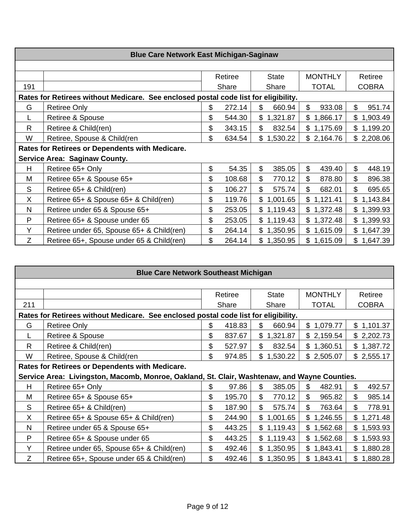|                                                                                     | <b>Blue Care Network East Michigan-Saginaw</b>  |    |         |    |              |    |                |              |              |  |  |
|-------------------------------------------------------------------------------------|-------------------------------------------------|----|---------|----|--------------|----|----------------|--------------|--------------|--|--|
|                                                                                     |                                                 |    |         |    |              |    |                |              |              |  |  |
|                                                                                     |                                                 |    | Retiree |    | <b>State</b> |    | <b>MONTHLY</b> |              | Retiree      |  |  |
| 191                                                                                 |                                                 |    | Share   |    | Share        |    | <b>TOTAL</b>   |              | <b>COBRA</b> |  |  |
| Rates for Retirees without Medicare. See enclosed postal code list for eligibility. |                                                 |    |         |    |              |    |                |              |              |  |  |
| G                                                                                   | <b>Retiree Only</b>                             | \$ | 272.14  | \$ | 660.94       | \$ | 933.08         | $\mathbb{S}$ | 951.74       |  |  |
|                                                                                     | Retiree & Spouse                                | \$ | 544.30  |    | \$1,321.87   | \$ | 1,866.17       |              | \$1,903.49   |  |  |
| $\mathsf{R}$                                                                        | Retiree & Child(ren)                            | \$ | 343.15  | \$ | 832.54       |    | \$1,175.69     |              | \$1,199.20   |  |  |
| W                                                                                   | Retiree, Spouse & Child(ren                     | \$ | 634.54  | \$ | 1,530.22     |    | \$2,164.76     |              | \$2,208.06   |  |  |
|                                                                                     | Rates for Retirees or Dependents with Medicare. |    |         |    |              |    |                |              |              |  |  |
|                                                                                     | <b>Service Area: Saginaw County.</b>            |    |         |    |              |    |                |              |              |  |  |
| H.                                                                                  | Retiree 65+ Only                                | \$ | 54.35   | \$ | 385.05       | \$ | 439.40         | \$           | 448.19       |  |  |
| м                                                                                   | Retiree 65+ & Spouse 65+                        | \$ | 108.68  | \$ | 770.12       | \$ | 878.80         | \$           | 896.38       |  |  |
| S                                                                                   | Retiree 65+ & Child(ren)                        | \$ | 106.27  | \$ | 575.74       | \$ | 682.01         | \$           | 695.65       |  |  |
| $\sf X$                                                                             | Retiree 65+ & Spouse 65+ & Child(ren)           | \$ | 119.76  |    | \$1,001.65   |    | \$1,121.41     |              | \$1,143.84   |  |  |
| N                                                                                   | Retiree under 65 & Spouse 65+                   | \$ | 253.05  |    | \$1,119.43   |    | \$1,372.48     |              | \$1,399.93   |  |  |
| P                                                                                   | Retiree 65+ & Spouse under 65                   | \$ | 253.05  |    | \$1,119.43   |    | \$1,372.48     |              | \$1,399.93   |  |  |
| Y                                                                                   | Retiree under 65, Spouse 65+ & Child(ren)       | \$ | 264.14  |    | \$1,350.95   |    | \$1,615.09     |              | \$1,647.39   |  |  |
| Z                                                                                   | Retiree 65+, Spouse under 65 & Child(ren)       | \$ | 264.14  |    | \$1,350.95   |    | \$1,615.09     |              | \$1,647.39   |  |  |

|                                                                                     | <b>Blue Care Network Southeast Michigan</b>                                                  |                                                      |        |                                     |              |                 |  |  |  |  |  |
|-------------------------------------------------------------------------------------|----------------------------------------------------------------------------------------------|------------------------------------------------------|--------|-------------------------------------|--------------|-----------------|--|--|--|--|--|
|                                                                                     |                                                                                              |                                                      |        |                                     |              |                 |  |  |  |  |  |
|                                                                                     |                                                                                              | <b>MONTHLY</b><br>Retiree<br><b>State</b><br>Retiree |        |                                     |              |                 |  |  |  |  |  |
| 211                                                                                 |                                                                                              |                                                      | Share  | Share                               | <b>TOTAL</b> | <b>COBRA</b>    |  |  |  |  |  |
| Rates for Retirees without Medicare. See enclosed postal code list for eligibility. |                                                                                              |                                                      |        |                                     |              |                 |  |  |  |  |  |
| G                                                                                   | <b>Retiree Only</b>                                                                          | \$                                                   | 418.83 | \$<br>660.94                        | \$1,079.77   | \$1,101.37      |  |  |  |  |  |
|                                                                                     | Retiree & Spouse                                                                             | \$                                                   | 837.67 | \$<br>1,321.87                      | \$2,159.54   | \$2,202.73      |  |  |  |  |  |
| R                                                                                   | Retiree & Child(ren)                                                                         | \$                                                   | 527.97 | \$<br>832.54                        | \$1,360.51   | \$1,387.72      |  |  |  |  |  |
| W                                                                                   | Retiree, Spouse & Child(ren                                                                  | \$                                                   | 974.85 | \$1,530.22                          | \$2,505.07   | \$2,555.17      |  |  |  |  |  |
|                                                                                     | Rates for Retirees or Dependents with Medicare.                                              |                                                      |        |                                     |              |                 |  |  |  |  |  |
|                                                                                     | Service Area: Livingston, Macomb, Monroe, Oakland, St. Clair, Washtenaw, and Wayne Counties. |                                                      |        |                                     |              |                 |  |  |  |  |  |
| H                                                                                   | Retiree 65+ Only                                                                             | \$                                                   | 97.86  | $\boldsymbol{\mathsf{S}}$<br>385.05 | \$<br>482.91 | \$<br>492.57    |  |  |  |  |  |
| M                                                                                   | Retiree 65+ & Spouse 65+                                                                     | \$                                                   | 195.70 | \$<br>770.12                        | \$<br>965.82 | \$<br>985.14    |  |  |  |  |  |
| S                                                                                   | Retiree 65+ & Child(ren)                                                                     | \$                                                   | 187.90 | \$<br>575.74                        | \$<br>763.64 | \$<br>778.91    |  |  |  |  |  |
| X                                                                                   | Retiree 65+ & Spouse 65+ & Child(ren)                                                        | \$                                                   | 244.90 | \$1,001.65                          | \$1,246.55   | 1,271.48<br>\$. |  |  |  |  |  |
| N                                                                                   | Retiree under 65 & Spouse 65+                                                                | \$                                                   | 443.25 | \$1,119.43                          | \$1,562.68   | 1,593.93<br>\$  |  |  |  |  |  |
| P                                                                                   | Retiree 65+ & Spouse under 65                                                                | \$                                                   | 443.25 | \$1,119.43                          | \$1,562.68   | 1,593.93<br>\$  |  |  |  |  |  |
| Y                                                                                   | Retiree under 65, Spouse 65+ & Child(ren)                                                    | \$                                                   | 492.46 | \$1,350.95                          | \$1,843.41   | 1,880.28<br>\$  |  |  |  |  |  |
| Z                                                                                   | Retiree 65+, Spouse under 65 & Child(ren)                                                    | \$                                                   | 492.46 | \$1,350.95                          | \$1,843.41   | \$<br>1,880.28  |  |  |  |  |  |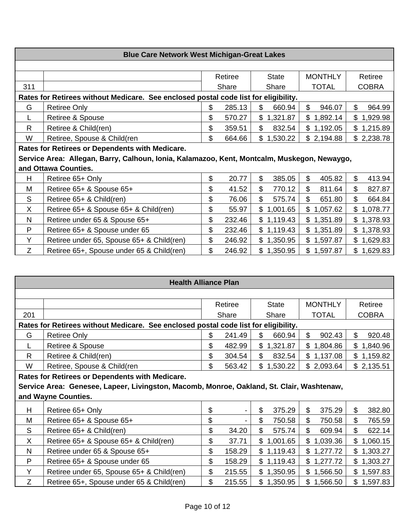| <b>Blue Care Network West Michigan-Great Lakes</b>                                  |                                                                                             |                                                      |        |                          |              |              |  |  |  |  |  |
|-------------------------------------------------------------------------------------|---------------------------------------------------------------------------------------------|------------------------------------------------------|--------|--------------------------|--------------|--------------|--|--|--|--|--|
|                                                                                     |                                                                                             |                                                      |        |                          |              |              |  |  |  |  |  |
|                                                                                     |                                                                                             | <b>MONTHLY</b><br>Retiree<br>Retiree<br><b>State</b> |        |                          |              |              |  |  |  |  |  |
| 311                                                                                 |                                                                                             |                                                      | Share  | Share                    | <b>TOTAL</b> | <b>COBRA</b> |  |  |  |  |  |
| Rates for Retirees without Medicare. See enclosed postal code list for eligibility. |                                                                                             |                                                      |        |                          |              |              |  |  |  |  |  |
| G                                                                                   | <b>Retiree Only</b>                                                                         | \$                                                   | 285.13 | \$<br>660.94             | \$<br>946.07 | \$<br>964.99 |  |  |  |  |  |
|                                                                                     | Retiree & Spouse                                                                            | \$                                                   | 570.27 | $\mathbb{S}$<br>1,321.87 | \$1,892.14   | \$1,929.98   |  |  |  |  |  |
| R                                                                                   | Retiree & Child(ren)                                                                        | \$                                                   | 359.51 | \$<br>832.54             | \$1,192.05   | \$1,215.89   |  |  |  |  |  |
| W                                                                                   | Retiree, Spouse & Child(ren                                                                 | \$                                                   | 664.66 | \$1,530.22               | \$2,194.88   | \$2,238.78   |  |  |  |  |  |
|                                                                                     | Rates for Retirees or Dependents with Medicare.                                             |                                                      |        |                          |              |              |  |  |  |  |  |
|                                                                                     | Service Area: Allegan, Barry, Calhoun, Ionia, Kalamazoo, Kent, Montcalm, Muskegon, Newaygo, |                                                      |        |                          |              |              |  |  |  |  |  |
|                                                                                     | and Ottawa Counties.                                                                        |                                                      |        |                          |              |              |  |  |  |  |  |
| H                                                                                   | Retiree 65+ Only                                                                            | \$                                                   | 20.77  | \$<br>385.05             | \$<br>405.82 | \$<br>413.94 |  |  |  |  |  |
| M                                                                                   | Retiree 65+ & Spouse 65+                                                                    | \$                                                   | 41.52  | \$<br>770.12             | \$<br>811.64 | \$<br>827.87 |  |  |  |  |  |
| S                                                                                   | Retiree 65+ & Child(ren)                                                                    | \$                                                   | 76.06  | \$<br>575.74             | \$<br>651.80 | \$<br>664.84 |  |  |  |  |  |
| X                                                                                   | Retiree 65+ & Spouse 65+ & Child(ren)                                                       | \$                                                   | 55.97  | \$1,001.65               | \$1,057.62   | \$1,078.77   |  |  |  |  |  |
| N                                                                                   | Retiree under 65 & Spouse 65+                                                               | \$                                                   | 232.46 | \$1,119.43               | \$1,351.89   | \$1,378.93   |  |  |  |  |  |
| P                                                                                   | Retiree 65+ & Spouse under 65                                                               | \$                                                   | 232.46 | \$1,119.43               | \$1,351.89   | \$1,378.93   |  |  |  |  |  |
| Y                                                                                   | Retiree under 65, Spouse 65+ & Child(ren)                                                   | \$                                                   | 246.92 | \$1,350.95               | \$1,597.87   | \$1,629.83   |  |  |  |  |  |
| Z                                                                                   | Retiree 65+, Spouse under 65 & Child(ren)                                                   | \$                                                   | 246.92 | \$1,350.95               | \$1,597.87   | \$1,629.83   |  |  |  |  |  |

| <b>Health Alliance Plan</b>                                                         |                                                                                           |    |         |                          |                |                 |  |  |  |  |
|-------------------------------------------------------------------------------------|-------------------------------------------------------------------------------------------|----|---------|--------------------------|----------------|-----------------|--|--|--|--|
|                                                                                     |                                                                                           |    |         |                          |                |                 |  |  |  |  |
|                                                                                     |                                                                                           |    | Retiree | <b>State</b>             | <b>MONTHLY</b> | Retiree         |  |  |  |  |
| 201                                                                                 |                                                                                           |    | Share   | Share                    | <b>TOTAL</b>   | <b>COBRA</b>    |  |  |  |  |
| Rates for Retirees without Medicare. See enclosed postal code list for eligibility. |                                                                                           |    |         |                          |                |                 |  |  |  |  |
| G                                                                                   | <b>Retiree Only</b>                                                                       | \$ | 241.49  | \$<br>660.94             | \$<br>902.43   | \$<br>920.48    |  |  |  |  |
|                                                                                     | Retiree & Spouse                                                                          | \$ | 482.99  | \$1,321.87               | \$1,804.86     | \$1,840.96      |  |  |  |  |
| R                                                                                   | Retiree & Child(ren)                                                                      | \$ | 304.54  | \$<br>832.54             | \$1,137.08     | \$1,159.82      |  |  |  |  |
| W                                                                                   | Retiree, Spouse & Child(ren                                                               | \$ | 563.42  | \$1,530.22               | \$2,093.64     | \$2,135.51      |  |  |  |  |
|                                                                                     | Rates for Retirees or Dependents with Medicare.                                           |    |         |                          |                |                 |  |  |  |  |
|                                                                                     | Service Area: Genesee, Lapeer, Livingston, Macomb, Monroe, Oakland, St. Clair, Washtenaw, |    |         |                          |                |                 |  |  |  |  |
|                                                                                     | and Wayne Counties.                                                                       |    |         |                          |                |                 |  |  |  |  |
| н                                                                                   | Retiree 65+ Only                                                                          | \$ |         | \$<br>375.29             | \$<br>375.29   | \$<br>382.80    |  |  |  |  |
| M                                                                                   | Retiree 65+ & Spouse 65+                                                                  | \$ |         | \$<br>750.58             | \$<br>750.58   | \$<br>765.59    |  |  |  |  |
| S                                                                                   | Retiree 65+ & Child(ren)                                                                  | \$ | 34.20   | $\mathfrak{L}$<br>575.74 | \$<br>609.94   | \$<br>622.14    |  |  |  |  |
| X                                                                                   | Retiree 65+ & Spouse 65+ & Child(ren)                                                     | \$ | 37.71   | \$1,001.65               | \$1,039.36     | 1,060.15<br>\$  |  |  |  |  |
| N                                                                                   | Retiree under 65 & Spouse 65+                                                             | \$ | 158.29  | \$1,119.43               | \$1,277.72     | 1,303.27<br>\$. |  |  |  |  |
| P                                                                                   | Retiree 65+ & Spouse under 65                                                             | \$ | 158.29  | \$1,119.43               | \$1,277.72     | \$1,303.27      |  |  |  |  |
| Y                                                                                   | Retiree under 65, Spouse 65+ & Child(ren)                                                 | \$ | 215.55  | \$1,350.95               | \$1,566.50     | \$1,597.83      |  |  |  |  |
| Ζ                                                                                   | Retiree 65+, Spouse under 65 & Child(ren)                                                 | \$ | 215.55  | \$1,350.95               | \$1,566.50     | 1,597.83<br>\$  |  |  |  |  |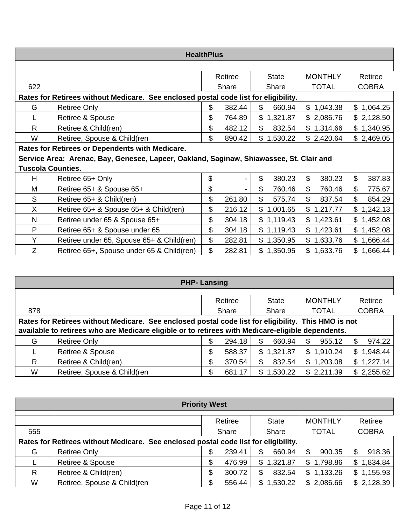|                                                                                     | <b>HealthPlus</b>                                                                       |    |         |                |                |              |  |  |  |  |  |
|-------------------------------------------------------------------------------------|-----------------------------------------------------------------------------------------|----|---------|----------------|----------------|--------------|--|--|--|--|--|
|                                                                                     |                                                                                         |    |         |                |                |              |  |  |  |  |  |
|                                                                                     |                                                                                         |    | Retiree | <b>State</b>   | <b>MONTHLY</b> | Retiree      |  |  |  |  |  |
| 622                                                                                 |                                                                                         |    | Share   | Share          | <b>TOTAL</b>   | <b>COBRA</b> |  |  |  |  |  |
| Rates for Retirees without Medicare. See enclosed postal code list for eligibility. |                                                                                         |    |         |                |                |              |  |  |  |  |  |
| G                                                                                   | <b>Retiree Only</b>                                                                     | \$ | 382.44  | \$<br>660.94   | \$1,043.38     | \$1,064.25   |  |  |  |  |  |
|                                                                                     | Retiree & Spouse                                                                        | \$ | 764.89  | \$<br>1,321.87 | \$2,086.76     | \$2,128.50   |  |  |  |  |  |
| $\mathsf{R}$                                                                        | Retiree & Child(ren)                                                                    | \$ | 482.12  | \$<br>832.54   | \$1,314.66     | \$1,340.95   |  |  |  |  |  |
| W                                                                                   | Retiree, Spouse & Child(ren                                                             | \$ | 890.42  | \$1,530.22     | \$2,420.64     | \$2,469.05   |  |  |  |  |  |
|                                                                                     | Rates for Retirees or Dependents with Medicare.                                         |    |         |                |                |              |  |  |  |  |  |
|                                                                                     | Service Area: Arenac, Bay, Genesee, Lapeer, Oakland, Saginaw, Shiawassee, St. Clair and |    |         |                |                |              |  |  |  |  |  |
| <b>Tuscola Counties.</b>                                                            |                                                                                         |    |         |                |                |              |  |  |  |  |  |
| H                                                                                   | Retiree 65+ Only                                                                        | \$ | -       | \$<br>380.23   | \$<br>380.23   | \$<br>387.83 |  |  |  |  |  |
| Μ                                                                                   | Retiree 65+ & Spouse 65+                                                                | \$ |         | \$<br>760.46   | \$<br>760.46   | \$<br>775.67 |  |  |  |  |  |
| S                                                                                   | Retiree 65+ & Child(ren)                                                                | \$ | 261.80  | \$<br>575.74   | \$<br>837.54   | \$<br>854.29 |  |  |  |  |  |
| X                                                                                   | Retiree 65+ & Spouse 65+ & Child(ren)                                                   | \$ | 216.12  | \$1,001.65     | \$<br>1,217.77 | \$1,242.13   |  |  |  |  |  |
| N                                                                                   | Retiree under 65 & Spouse 65+                                                           | \$ | 304.18  | \$1,119.43     | \$1,423.61     | \$1,452.08   |  |  |  |  |  |
| P                                                                                   | Retiree 65+ & Spouse under 65                                                           | \$ | 304.18  | \$1,119.43     | \$1,423.61     | \$1,452.08   |  |  |  |  |  |
| Y                                                                                   | Retiree under 65, Spouse 65+ & Child(ren)                                               | \$ | 282.81  | \$1,350.95     | \$1,633.76     | \$1,666.44   |  |  |  |  |  |
| Z                                                                                   | Retiree 65+, Spouse under 65 & Child(ren)                                               | \$ | 282.81  | \$1,350.95     | \$1,633.76     | \$1,666.44   |  |  |  |  |  |

| <b>PHP-Lansing</b>                                                                                  |                             |              |                |                |                |  |  |  |  |  |  |
|-----------------------------------------------------------------------------------------------------|-----------------------------|--------------|----------------|----------------|----------------|--|--|--|--|--|--|
|                                                                                                     |                             |              |                |                |                |  |  |  |  |  |  |
|                                                                                                     |                             | Retiree      | <b>State</b>   | <b>MONTHLY</b> | Retiree        |  |  |  |  |  |  |
| 878                                                                                                 |                             | Share        | Share          | <b>TOTAL</b>   | <b>COBRA</b>   |  |  |  |  |  |  |
| Rates for Retirees without Medicare. See enclosed postal code list for eligibility. This HMO is not |                             |              |                |                |                |  |  |  |  |  |  |
| available to retirees who are Medicare eligible or to retirees with Medicare-eligible dependents.   |                             |              |                |                |                |  |  |  |  |  |  |
| G                                                                                                   | <b>Retiree Only</b>         | 294.18<br>\$ | 660.94<br>\$   | \$<br>955.12   | 974.22         |  |  |  |  |  |  |
|                                                                                                     | <b>Retiree &amp; Spouse</b> | \$<br>588.37 | \$<br>1,321.87 | \$1,910.24     | 1,948.44<br>\$ |  |  |  |  |  |  |
| R                                                                                                   | Retiree & Child(ren)        | \$<br>370.54 | \$<br>832.54   | \$1,203.08     | \$1,227.14     |  |  |  |  |  |  |
| W                                                                                                   | Retiree, Spouse & Child(ren | \$<br>681.17 | 1,530.22<br>\$ | \$2,211.39     | \$2,255.62     |  |  |  |  |  |  |

| <b>Priority West</b>                                                                |                             |       |        |                |                          |              |  |  |  |
|-------------------------------------------------------------------------------------|-----------------------------|-------|--------|----------------|--------------------------|--------------|--|--|--|
| <b>MONTHLY</b><br>Retiree<br>Retiree<br><b>State</b>                                |                             |       |        |                |                          |              |  |  |  |
| 555                                                                                 |                             | Share |        | Share          | <b>TOTAL</b>             | <b>COBRA</b> |  |  |  |
| Rates for Retirees without Medicare. See enclosed postal code list for eligibility. |                             |       |        |                |                          |              |  |  |  |
| G                                                                                   | <b>Retiree Only</b>         | \$    | 239.41 | \$<br>660.94   | \$<br>900.35             | 918.36<br>S. |  |  |  |
|                                                                                     | Retiree & Spouse            | \$    | 476.99 | \$<br>1,321.87 | 1,798.86<br>\$           | \$1,834.84   |  |  |  |
| R                                                                                   | Retiree & Child(ren)        | \$    | 300.72 | \$<br>832.54   | 1,133.26<br>$\mathbb{S}$ | \$1,155.93   |  |  |  |
| W                                                                                   | Retiree, Spouse & Child(ren | \$    | 556.44 | 1,530.22<br>S  | 2,086.66<br>\$           | \$2,128.39   |  |  |  |